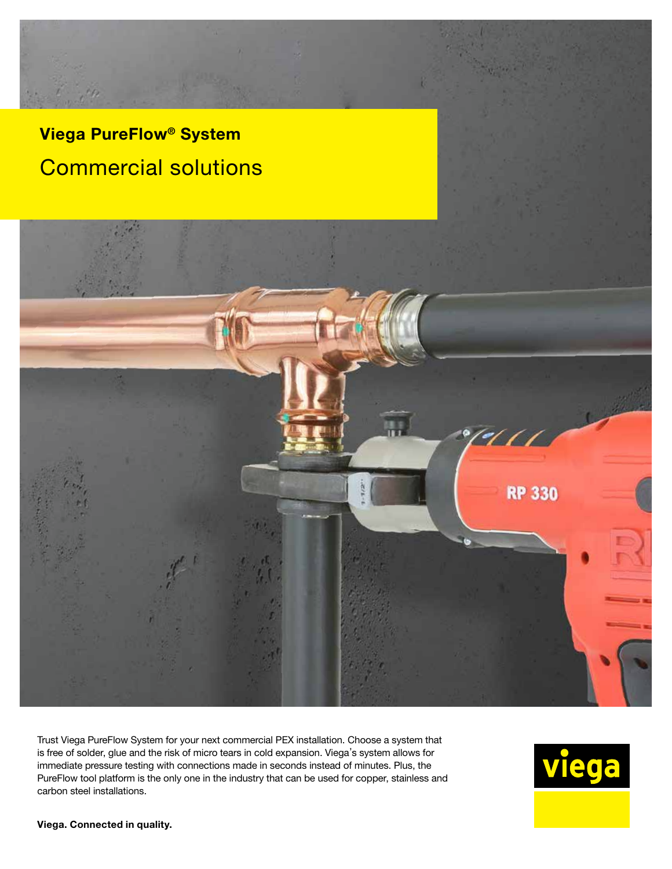# Viega PureFlow® System Commercial solutions



Trust Viega PureFlow System for your next commercial PEX installation. Choose a system that is free of solder, glue and the risk of micro tears in cold expansion. Viega's system allows for immediate pressure testing with connections made in seconds instead of minutes. Plus, the PureFlow tool platform is the only one in the industry that can be used for copper, stainless and carbon steel installations.



#### Viega. Connected in quality.